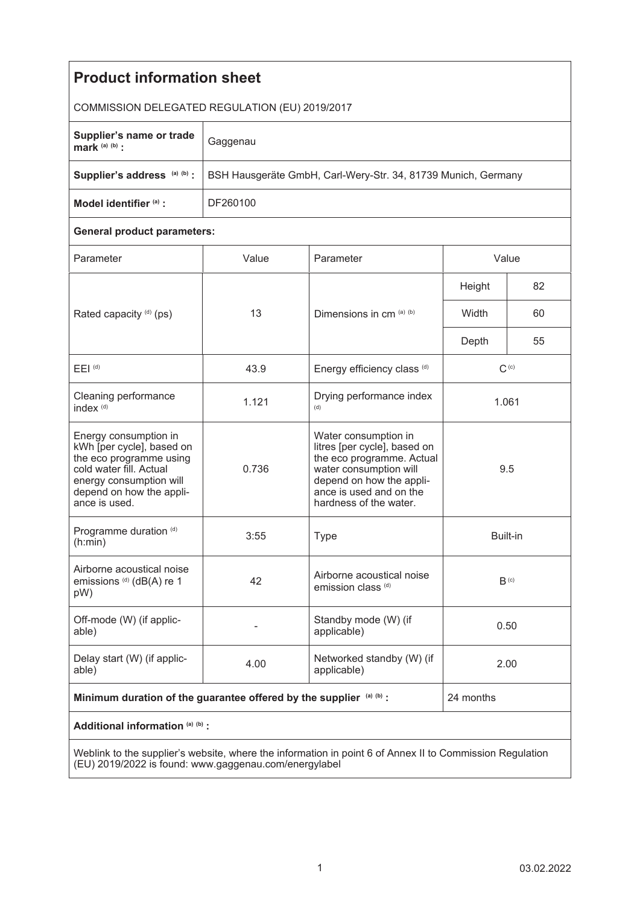| <b>Product information sheet</b>                                                                                                                                                 |                                                               |                                                                                                                                                                                              |                  |    |
|----------------------------------------------------------------------------------------------------------------------------------------------------------------------------------|---------------------------------------------------------------|----------------------------------------------------------------------------------------------------------------------------------------------------------------------------------------------|------------------|----|
| COMMISSION DELEGATED REGULATION (EU) 2019/2017                                                                                                                                   |                                                               |                                                                                                                                                                                              |                  |    |
| Supplier's name or trade<br>mark $(a)$ $(b)$ :                                                                                                                                   | Gaggenau                                                      |                                                                                                                                                                                              |                  |    |
| Supplier's address (a) (b) :                                                                                                                                                     | BSH Hausgeräte GmbH, Carl-Wery-Str. 34, 81739 Munich, Germany |                                                                                                                                                                                              |                  |    |
| Model identifier (a) :                                                                                                                                                           | DF260100                                                      |                                                                                                                                                                                              |                  |    |
| <b>General product parameters:</b>                                                                                                                                               |                                                               |                                                                                                                                                                                              |                  |    |
| Parameter                                                                                                                                                                        | Value                                                         | Parameter                                                                                                                                                                                    | Value            |    |
| Rated capacity (d) (ps)                                                                                                                                                          | 13                                                            | Dimensions in cm (a) (b)                                                                                                                                                                     | Height           | 82 |
|                                                                                                                                                                                  |                                                               |                                                                                                                                                                                              | Width            | 60 |
|                                                                                                                                                                                  |                                                               |                                                                                                                                                                                              | Depth            | 55 |
| $E EI$ <sup>(d)</sup>                                                                                                                                                            | 43.9                                                          | Energy efficiency class (d)                                                                                                                                                                  | $C^{(c)}$        |    |
| Cleaning performance<br>index <sup>(d)</sup>                                                                                                                                     | 1.121                                                         | Drying performance index<br>(d)                                                                                                                                                              | 1.061            |    |
| Energy consumption in<br>kWh [per cycle], based on<br>the eco programme using<br>cold water fill. Actual<br>energy consumption will<br>depend on how the appli-<br>ance is used. | 0.736                                                         | Water consumption in<br>litres [per cycle], based on<br>the eco programme. Actual<br>water consumption will<br>depend on how the appli-<br>ance is used and on the<br>hardness of the water. | 9.5              |    |
| Programme duration (d)<br>(h:min)                                                                                                                                                | 3:55                                                          | <b>Type</b>                                                                                                                                                                                  | Built-in         |    |
| Airborne acoustical noise<br>emissions (d) (dB(A) re 1<br>pW)                                                                                                                    | 42                                                            | Airborne acoustical noise<br>emission class <sup>(d)</sup>                                                                                                                                   | B <sub>(c)</sub> |    |
| Off-mode (W) (if applic-<br>able)                                                                                                                                                |                                                               | Standby mode (W) (if<br>applicable)                                                                                                                                                          | 0.50             |    |
| Delay start (W) (if applic-<br>able)                                                                                                                                             | 4.00                                                          | Networked standby (W) (if<br>applicable)                                                                                                                                                     | 2.00             |    |
| Minimum duration of the guarantee offered by the supplier (a) (b) :                                                                                                              |                                                               |                                                                                                                                                                                              | 24 months        |    |
| Additional information (a) (b) :                                                                                                                                                 |                                                               |                                                                                                                                                                                              |                  |    |
| Weblink to the supplier's website where the information in point 6 of Anney II to Commission Requisition                                                                         |                                                               |                                                                                                                                                                                              |                  |    |

Weblink to the supplier's website, where the information in point 6 of Annex II to Commission Regulation (EU) 2019/2022 is found: www.gaggenau.com/energylabel